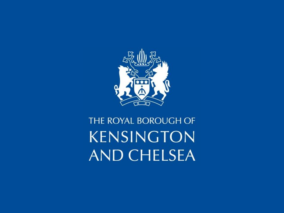

## THE ROYAL BOROUGH OF **KENSINGTON AND CHELSEA**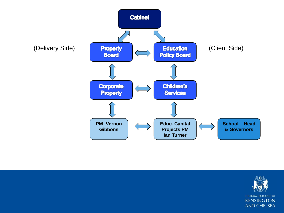

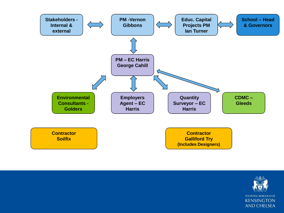

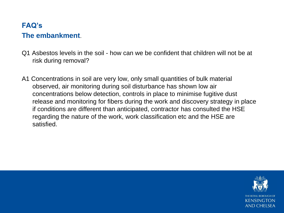## **FAQ's The embankment**.

- Q1 Asbestos levels in the soil how can we be confident that children will not be at risk during removal?
- A1 Concentrations in soil are very low, only small quantities of bulk material observed, air monitoring during soil disturbance has shown low air concentrations below detection, controls in place to minimise fugitive dust release and monitoring for fibers during the work and discovery strategy in place if conditions are different than anticipated, contractor has consulted the HSE regarding the nature of the work, work classification etc and the HSE are satisfied.

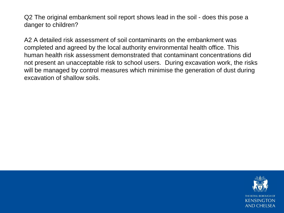Q2 The original embankment soil report shows lead in the soil - does this pose a danger to children?

A2 A detailed risk assessment of soil contaminants on the embankment was completed and agreed by the local authority environmental health office. This human health risk assessment demonstrated that contaminant concentrations did not present an unacceptable risk to school users. During excavation work, the risks will be managed by control measures which minimise the generation of dust during excavation of shallow soils.

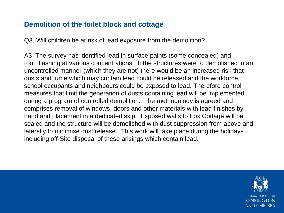## **Demolition of the toilet block and cottage**.

Q3. Will children be at risk of lead exposure from the demolition?

A3 The survey has identified lead in surface paints (some concealed) and roof flashing at various concentrations. If the structures were to demolished in an uncontrolled manner (which they are not) there would be an increased risk that dusts and fume which may contain lead could be released and the workforce, school occupants and neighbours could be exposed to lead. Therefore control measures that limit the generation of dusts containing lead will be implemented during a program of controlled demolition. The methodology is agreed and comprises removal of windows, doors and other materials with lead finishes by hand and placement in a dedicated skip. Exposed walls to Fox Cottage will be sealed and the structure will be demolished with dust suppression from above and laterally to minimise dust release. This work will take place during the holidays including off-Site disposal of these arisings which contain lead.

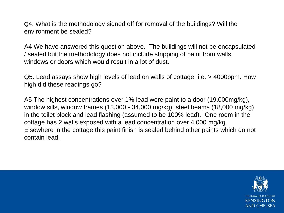Q4. What is the methodology signed off for removal of the buildings? Will the environment be sealed?

A4 We have answered this question above. The buildings will not be encapsulated / sealed but the methodology does not include stripping of paint from walls, windows or doors which would result in a lot of dust.

Q5. Lead assays show high levels of lead on walls of cottage, i.e. > 4000ppm. How high did these readings go?

A5 The highest concentrations over 1% lead were paint to a door (19,000mg/kg), window sills, window frames (13,000 - 34,000 mg/kg), steel beams (18,000 mg/kg) in the toilet block and lead flashing (assumed to be 100% lead). One room in the cottage has 2 walls exposed with a lead concentration over 4,000 mg/kg. Elsewhere in the cottage this paint finish is sealed behind other paints which do not contain lead.

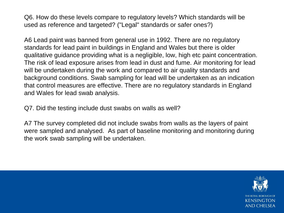Q6. How do these levels compare to regulatory levels? Which standards will be used as reference and targeted? ("Legal" standards or safer ones?)

A6 Lead paint was banned from general use in 1992. There are no regulatory standards for lead paint in buildings in England and Wales but there is older qualitative guidance providing what is a negligible, low, high etc paint concentration. The risk of lead exposure arises from lead in dust and fume. Air monitoring for lead will be undertaken during the work and compared to air quality standards and background conditions. Swab sampling for lead will be undertaken as an indication that control measures are effective. There are no regulatory standards in England and Wales for lead swab analysis.

Q7. Did the testing include dust swabs on walls as well?

A7 The survey completed did not include swabs from walls as the layers of paint were sampled and analysed. As part of baseline monitoring and monitoring during the work swab sampling will be undertaken.

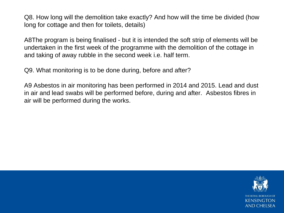Q8. How long will the demolition take exactly? And how will the time be divided (how long for cottage and then for toilets, details)

A8The program is being finalised - but it is intended the soft strip of elements will be undertaken in the first week of the programme with the demolition of the cottage in and taking of away rubble in the second week i.e. half term.

Q9. What monitoring is to be done during, before and after?

A9 Asbestos in air monitoring has been performed in 2014 and 2015. Lead and dust in air and lead swabs will be performed before, during and after. Asbestos fibres in air will be performed during the works.